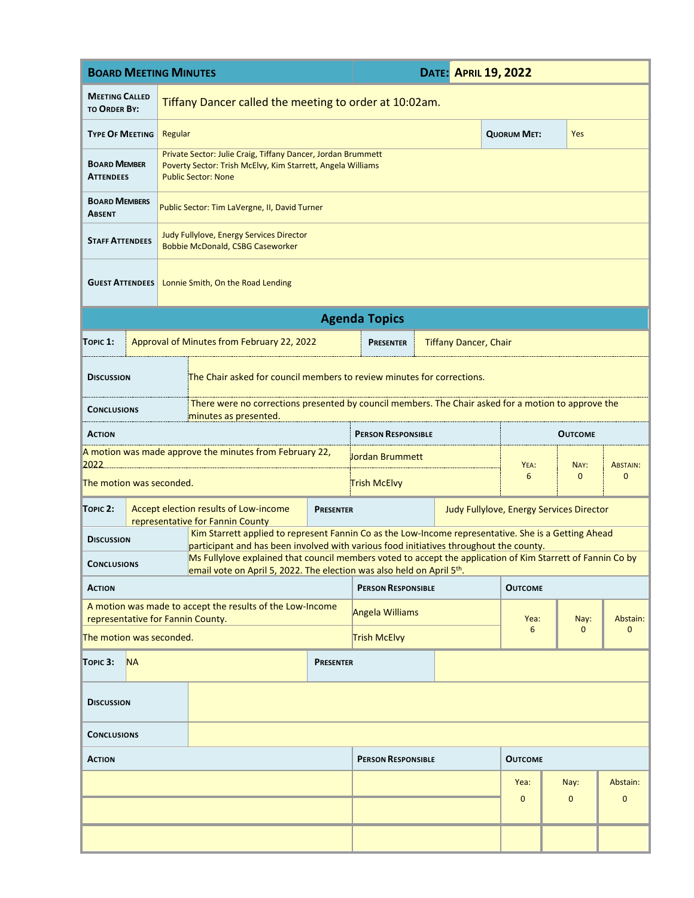| <b>BOARD MEETING MINUTES</b>                                                                                                                                                                                        |                                                                                                                                                           |                                                                                                                                                                                      |                  | <b>DATE: APRIL 19, 2022</b> |  |                                          |                    |              |                 |  |  |
|---------------------------------------------------------------------------------------------------------------------------------------------------------------------------------------------------------------------|-----------------------------------------------------------------------------------------------------------------------------------------------------------|--------------------------------------------------------------------------------------------------------------------------------------------------------------------------------------|------------------|-----------------------------|--|------------------------------------------|--------------------|--------------|-----------------|--|--|
| <b>MEETING CALLED</b><br><b>TO ORDER BY:</b>                                                                                                                                                                        | Tiffany Dancer called the meeting to order at 10:02am.                                                                                                    |                                                                                                                                                                                      |                  |                             |  |                                          |                    |              |                 |  |  |
| <b>TYPE OF MEETING</b>                                                                                                                                                                                              | Regular                                                                                                                                                   |                                                                                                                                                                                      |                  |                             |  |                                          | <b>QUORUM MET:</b> | Yes          |                 |  |  |
| <b>BOARD MEMBER</b><br><b>ATTENDEES</b>                                                                                                                                                                             | Private Sector: Julie Craig, Tiffany Dancer, Jordan Brummett<br>Poverty Sector: Trish McElvy, Kim Starrett, Angela Williams<br><b>Public Sector: None</b> |                                                                                                                                                                                      |                  |                             |  |                                          |                    |              |                 |  |  |
| <b>BOARD MEMBERS</b><br><b>ABSENT</b>                                                                                                                                                                               | Public Sector: Tim LaVergne, II, David Turner                                                                                                             |                                                                                                                                                                                      |                  |                             |  |                                          |                    |              |                 |  |  |
| <b>STAFF ATTENDEES</b>                                                                                                                                                                                              | Judy Fullylove, Energy Services Director<br>Bobbie McDonald, CSBG Caseworker                                                                              |                                                                                                                                                                                      |                  |                             |  |                                          |                    |              |                 |  |  |
| <b>GUEST ATTENDEES</b>                                                                                                                                                                                              | Lonnie Smith, On the Road Lending                                                                                                                         |                                                                                                                                                                                      |                  |                             |  |                                          |                    |              |                 |  |  |
| <b>Agenda Topics</b>                                                                                                                                                                                                |                                                                                                                                                           |                                                                                                                                                                                      |                  |                             |  |                                          |                    |              |                 |  |  |
| TOPIC $1:$                                                                                                                                                                                                          |                                                                                                                                                           | Approval of Minutes from February 22, 2022                                                                                                                                           |                  | <b>PRESENTER</b>            |  | <b>Tiffany Dancer, Chair</b>             |                    |              |                 |  |  |
| <b>DISCUSSION</b>                                                                                                                                                                                                   | The Chair asked for council members to review minutes for corrections.                                                                                    |                                                                                                                                                                                      |                  |                             |  |                                          |                    |              |                 |  |  |
| <b>CONCLUSIONS</b>                                                                                                                                                                                                  |                                                                                                                                                           | There were no corrections presented by council members. The Chair asked for a motion to approve the<br>minutes as presented.                                                         |                  |                             |  |                                          |                    |              |                 |  |  |
| <b>ACTION</b>                                                                                                                                                                                                       |                                                                                                                                                           |                                                                                                                                                                                      |                  | <b>PERSON RESPONSIBLE</b>   |  |                                          | <b>OUTCOME</b>     |              |                 |  |  |
| A motion was made approve the minutes from February 22,<br>2022                                                                                                                                                     |                                                                                                                                                           |                                                                                                                                                                                      |                  | Jordan Brummett             |  |                                          | YEA:               | NAY:         | <b>ABSTAIN:</b> |  |  |
| The motion was seconded.                                                                                                                                                                                            |                                                                                                                                                           |                                                                                                                                                                                      |                  | Trish McElvy                |  |                                          |                    | $\mathbf{0}$ | 0               |  |  |
| TOPIC <sub>2</sub> :                                                                                                                                                                                                |                                                                                                                                                           | Accept election results of Low-income<br>representative for Fannin County                                                                                                            | <b>PRESENTER</b> |                             |  | Judy Fullylove, Energy Services Director |                    |              |                 |  |  |
| Kim Starrett applied to represent Fannin Co as the Low-Income representative. She is a Getting Ahead<br><b>DISCUSSION</b><br>participant and has been involved with various food initiatives throughout the county. |                                                                                                                                                           |                                                                                                                                                                                      |                  |                             |  |                                          |                    |              |                 |  |  |
| <b>CONCLUSIONS</b>                                                                                                                                                                                                  |                                                                                                                                                           | Ms Fullylove explained that council members voted to accept the application of Kim Starrett of Fannin Co by<br>email vote on April 5, 2022. The election was also held on April 5th. |                  |                             |  |                                          |                    |              |                 |  |  |
| <b>ACTION</b>                                                                                                                                                                                                       | <b>PERSON RESPONSIBLE</b>                                                                                                                                 |                                                                                                                                                                                      |                  | <b>OUTCOME</b>              |  |                                          |                    |              |                 |  |  |
| A motion was made to accept the results of the Low-Income<br>representative for Fannin County.                                                                                                                      |                                                                                                                                                           |                                                                                                                                                                                      |                  | <b>Angela Williams</b>      |  |                                          | Yea:               | Nay:         | Abstain:        |  |  |
| The motion was seconded.                                                                                                                                                                                            |                                                                                                                                                           |                                                                                                                                                                                      |                  | <b>Trish McElvy</b>         |  |                                          | 6                  | 0            | $\mathbf{0}$    |  |  |
| <b>NA</b><br>TOPIC 3:<br><b>PRESENTER</b>                                                                                                                                                                           |                                                                                                                                                           |                                                                                                                                                                                      |                  |                             |  |                                          |                    |              |                 |  |  |
| <b>DISCUSSION</b>                                                                                                                                                                                                   |                                                                                                                                                           |                                                                                                                                                                                      |                  |                             |  |                                          |                    |              |                 |  |  |
| <b>CONCLUSIONS</b>                                                                                                                                                                                                  |                                                                                                                                                           |                                                                                                                                                                                      |                  |                             |  |                                          |                    |              |                 |  |  |
| <b>ACTION</b>                                                                                                                                                                                                       |                                                                                                                                                           |                                                                                                                                                                                      |                  | <b>PERSON RESPONSIBLE</b>   |  | <b>OUTCOME</b>                           |                    |              |                 |  |  |
|                                                                                                                                                                                                                     |                                                                                                                                                           |                                                                                                                                                                                      |                  |                             |  |                                          | Yea:               | Nay:         | Abstain:        |  |  |
|                                                                                                                                                                                                                     |                                                                                                                                                           |                                                                                                                                                                                      |                  |                             |  |                                          | 0                  | $\mathbf 0$  | $\mathbf{0}$    |  |  |
|                                                                                                                                                                                                                     |                                                                                                                                                           |                                                                                                                                                                                      |                  |                             |  |                                          |                    |              |                 |  |  |